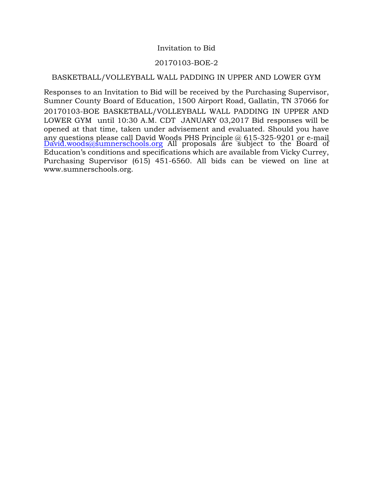### Invitation to Bid

### 20170103-BOE-2

### BASKETBALL/VOLLEYBALL WALL PADDING IN UPPER AND LOWER GYM

Responses to an Invitation to Bid will be received by the Purchasing Supervisor, Sumner County Board of Education, 1500 Airport Road, Gallatin, TN 37066 for 20170103-BOE BASKETBALL/VOLLEYBALL WALL PADDING IN UPPER AND LOWER GYM until 10:30 A.M. CDT JANUARY 03,2017 Bid responses will be opened at that time, taken under advisement and evaluated. Should you have any questions please call David Woods PHS Principle @ 615-325-9201 or e-mail [David.woods@sumnerschools.org](mailto:David.woods@sumnerschools.org) All proposals are subject to the Board of Education's conditions and specifications which are available from Vicky Currey, Purchasing Supervisor (615) 451-6560. All bids can be viewed on line at www.sumnerschools.org.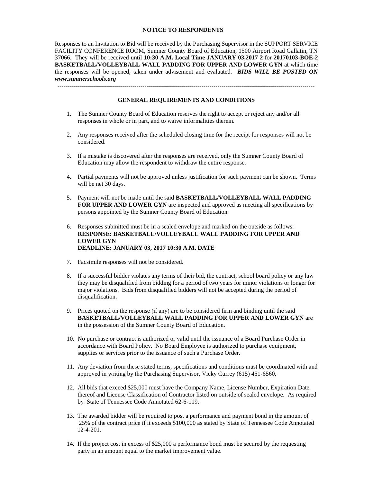#### **NOTICE TO RESPONDENTS**

Responses to an Invitation to Bid will be received by the Purchasing Supervisor in the SUPPORT SERVICE FACILITY CONFERENCE ROOM, Sumner County Board of Education, 1500 Airport Road Gallatin, TN 37066. They will be received until **10:30 A.M. Local Time JANUARY 03,2017 2** for **20170103-BOE-2 BASKETBALL/VOLLEYBALL WALL PADDING FOR UPPER AND LOWER GYN** at which time the responses will be opened, taken under advisement and evaluated. *BIDS WILL BE POSTED ON www.sumnerschools.org* 

## ------------------------------------------------------------------------------------------------------------------------------- **GENERAL REQUIREMENTS AND CONDITIONS**

- 1. The Sumner County Board of Education reserves the right to accept or reject any and/or all responses in whole or in part, and to waive informalities therein.
- 2. Any responses received after the scheduled closing time for the receipt for responses will not be considered.
- 3. If a mistake is discovered after the responses are received, only the Sumner County Board of Education may allow the respondent to withdraw the entire response.
- 4. Partial payments will not be approved unless justification for such payment can be shown. Terms will be net 30 days.
- 5. Payment will not be made until the said **BASKETBALL/VOLLEYBALL WALL PADDING FOR UPPER AND LOWER GYN** are inspected and approved as meeting all specifications by persons appointed by the Sumner County Board of Education.
- 6. Responses submitted must be in a sealed envelope and marked on the outside as follows: **RESPONSE: BASKETBALL/VOLLEYBALL WALL PADDING FOR UPPER AND LOWER GYN DEADLINE: JANUARY 03, 2017 10:30 A.M. DATE**
- 7. Facsimile responses will not be considered.
- 8. If a successful bidder violates any terms of their bid, the contract, school board policy or any law they may be disqualified from bidding for a period of two years for minor violations or longer for major violations. Bids from disqualified bidders will not be accepted during the period of disqualification.
- 9. Prices quoted on the response (if any) are to be considered firm and binding until the said **BASKETBALL/VOLLEYBALL WALL PADDING FOR UPPER AND LOWER GYN** are in the possession of the Sumner County Board of Education.
- 10. No purchase or contract is authorized or valid until the issuance of a Board Purchase Order in accordance with Board Policy. No Board Employee is authorized to purchase equipment, supplies or services prior to the issuance of such a Purchase Order.
- 11. Any deviation from these stated terms, specifications and conditions must be coordinated with and approved in writing by the Purchasing Supervisor, Vicky Currey (615) 451-6560.
- 12. All bids that exceed \$25,000 must have the Company Name, License Number, Expiration Date thereof and License Classification of Contractor listed on outside of sealed envelope. As required by State of Tennessee Code Annotated 62-6-119.
- 13. The awarded bidder will be required to post a performance and payment bond in the amount of 25% of the contract price if it exceeds \$100,000 as stated by State of Tennessee Code Annotated 12-4-201.
- 14. If the project cost in excess of \$25,000 a performance bond must be secured by the requesting party in an amount equal to the market improvement value.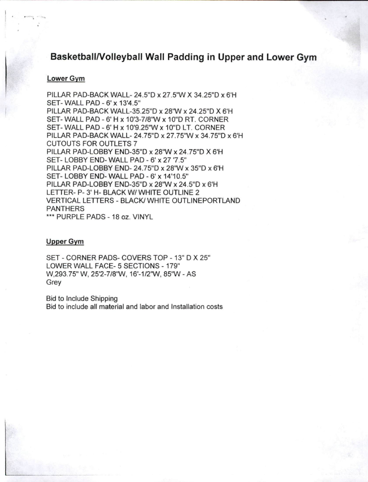# Basketball/Volleyball Wall Padding in Upper and Lower Gym

### Lower Gym

PILLAR PAD-BACK WALL-24.5"D x 27.5"W X 34.25"D x 6'H SET-WALL PAD - 6' x 13'4.5" PILLAR PAD-BACK WALL-35.25"D x 28"W x 24.25"D X 6'H SET-WALL PAD - 6' H x 10'3-7/8"W x 10"D RT, CORNER SET-WALL PAD - 6' H x 10'9.25"W x 10"D LT. CORNER PILLAR PAD-BACK WALL- 24.75"D x 27.75"W x 34.75"D x 6'H **CUTOUTS FOR OUTLETS 7** PILLAR PAD-LOBBY END-35"D x 28"W x 24.75"D X 6'H SET-LOBBY END-WALL PAD - 6' x 27 '7.5" PILLAR PAD-LOBBY END-24.75"D x 28"W x 35"D x 6'H SET-LOBBY END-WALL PAD - 6' x 14'10.5" PILLAR PAD-LOBBY END-35"D x 28"W x 24.5"D x 6'H LETTER- P-3' H- BLACK W/ WHITE OUTLINE 2 VERTICAL LETTERS - BLACK/ WHITE OUTLINEPORTLAND **PANTHERS** \*\*\* PURPLE PADS - 18 oz. VINYL

### **Upper Gym**

SET - CORNER PADS- COVERS TOP - 13" D X 25" LOWER WALL FACE- 5 SECTIONS - 179" W,293.75" W, 25'2-7/8"W, 16'-1/2"W, 85"W - AS Grey

**Bid to Include Shipping** Bid to include all material and labor and Installation costs